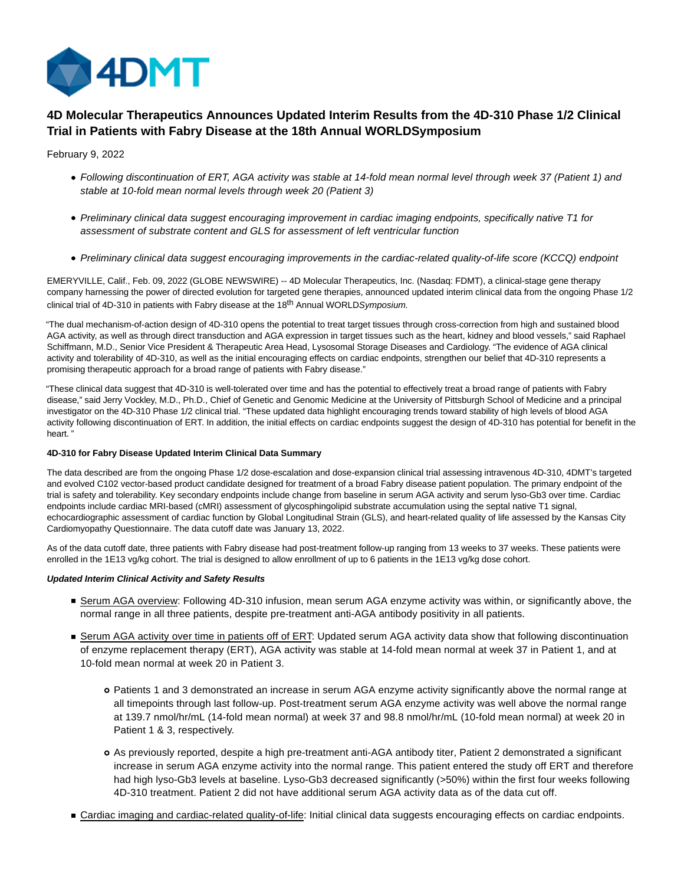

# **4D Molecular Therapeutics Announces Updated Interim Results from the 4D-310 Phase 1/2 Clinical Trial in Patients with Fabry Disease at the 18th Annual WORLDSymposium**

# February 9, 2022

- Following discontinuation of ERT, AGA activity was stable at 14-fold mean normal level through week 37 (Patient 1) and stable at 10-fold mean normal levels through week 20 (Patient 3)
- Preliminary clinical data suggest encouraging improvement in cardiac imaging endpoints, specifically native T1 for assessment of substrate content and GLS for assessment of left ventricular function
- Preliminary clinical data suggest encouraging improvements in the cardiac-related quality-of-life score (KCCQ) endpoint

EMERYVILLE, Calif., Feb. 09, 2022 (GLOBE NEWSWIRE) -- 4D Molecular Therapeutics, Inc. (Nasdaq: FDMT), a clinical-stage gene therapy company harnessing the power of directed evolution for targeted gene therapies, announced updated interim clinical data from the ongoing Phase 1/2 clinical trial of 4D-310 in patients with Fabry disease at the 18<sup>th</sup> Annual WORLDSymposium.

"The dual mechanism-of-action design of 4D-310 opens the potential to treat target tissues through cross-correction from high and sustained blood AGA activity, as well as through direct transduction and AGA expression in target tissues such as the heart, kidney and blood vessels," said Raphael Schiffmann, M.D., Senior Vice President & Therapeutic Area Head, Lysosomal Storage Diseases and Cardiology. "The evidence of AGA clinical activity and tolerability of 4D-310, as well as the initial encouraging effects on cardiac endpoints, strengthen our belief that 4D-310 represents a promising therapeutic approach for a broad range of patients with Fabry disease."

"These clinical data suggest that 4D-310 is well-tolerated over time and has the potential to effectively treat a broad range of patients with Fabry disease," said Jerry Vockley, M.D., Ph.D., Chief of Genetic and Genomic Medicine at the University of Pittsburgh School of Medicine and a principal investigator on the 4D-310 Phase 1/2 clinical trial. "These updated data highlight encouraging trends toward stability of high levels of blood AGA activity following discontinuation of ERT. In addition, the initial effects on cardiac endpoints suggest the design of 4D-310 has potential for benefit in the heart. "

# **4D-310 for Fabry Disease Updated Interim Clinical Data Summary**

The data described are from the ongoing Phase 1/2 dose-escalation and dose-expansion clinical trial assessing intravenous 4D-310, 4DMT's targeted and evolved C102 vector-based product candidate designed for treatment of a broad Fabry disease patient population. The primary endpoint of the trial is safety and tolerability. Key secondary endpoints include change from baseline in serum AGA activity and serum lyso-Gb3 over time. Cardiac endpoints include cardiac MRI-based (cMRI) assessment of glycosphingolipid substrate accumulation using the septal native T1 signal, echocardiographic assessment of cardiac function by Global Longitudinal Strain (GLS), and heart-related quality of life assessed by the Kansas City Cardiomyopathy Questionnaire. The data cutoff date was January 13, 2022.

As of the data cutoff date, three patients with Fabry disease had post-treatment follow-up ranging from 13 weeks to 37 weeks. These patients were enrolled in the 1E13 vg/kg cohort. The trial is designed to allow enrollment of up to 6 patients in the 1E13 vg/kg dose cohort.

# **Updated Interim Clinical Activity and Safety Results**

- Serum AGA overview: Following 4D-310 infusion, mean serum AGA enzyme activity was within, or significantly above, the normal range in all three patients, despite pre-treatment anti-AGA antibody positivity in all patients.
- Serum AGA activity over time in patients off of ERT: Updated serum AGA activity data show that following discontinuation of enzyme replacement therapy (ERT), AGA activity was stable at 14-fold mean normal at week 37 in Patient 1, and at 10-fold mean normal at week 20 in Patient 3.
	- Patients 1 and 3 demonstrated an increase in serum AGA enzyme activity significantly above the normal range at all timepoints through last follow-up. Post-treatment serum AGA enzyme activity was well above the normal range at 139.7 nmol/hr/mL (14-fold mean normal) at week 37 and 98.8 nmol/hr/mL (10-fold mean normal) at week 20 in Patient 1 & 3, respectively.
	- As previously reported, despite a high pre-treatment anti-AGA antibody titer, Patient 2 demonstrated a significant increase in serum AGA enzyme activity into the normal range. This patient entered the study off ERT and therefore had high lyso-Gb3 levels at baseline. Lyso-Gb3 decreased significantly (>50%) within the first four weeks following 4D-310 treatment. Patient 2 did not have additional serum AGA activity data as of the data cut off.
- Cardiac imaging and cardiac-related quality-of-life: Initial clinical data suggests encouraging effects on cardiac endpoints.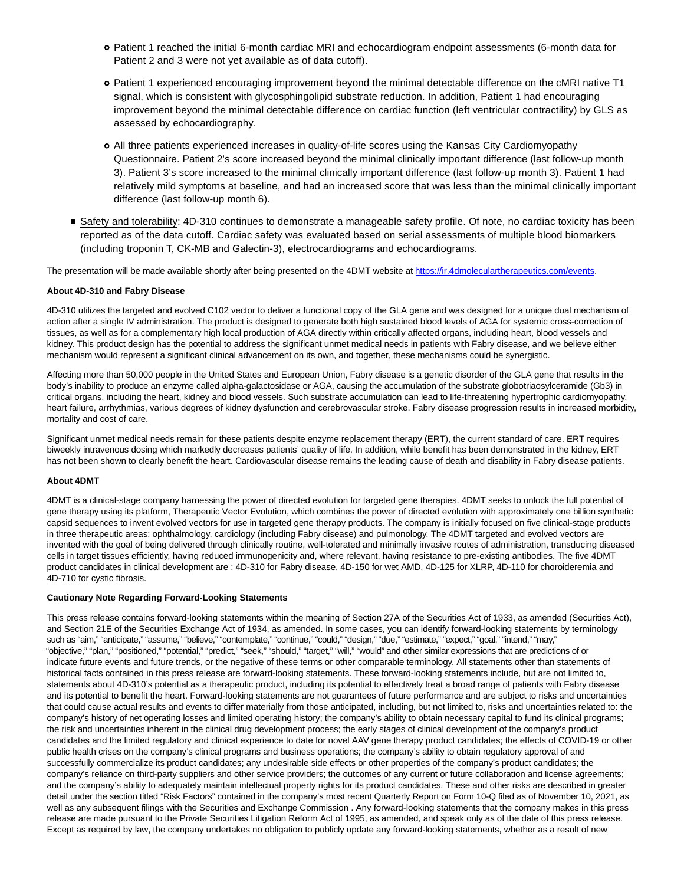- Patient 1 reached the initial 6-month cardiac MRI and echocardiogram endpoint assessments (6-month data for Patient 2 and 3 were not yet available as of data cutoff).
- Patient 1 experienced encouraging improvement beyond the minimal detectable difference on the cMRI native T1 signal, which is consistent with glycosphingolipid substrate reduction. In addition, Patient 1 had encouraging improvement beyond the minimal detectable difference on cardiac function (left ventricular contractility) by GLS as assessed by echocardiography.
- All three patients experienced increases in quality-of-life scores using the Kansas City Cardiomyopathy Questionnaire. Patient 2's score increased beyond the minimal clinically important difference (last follow-up month 3). Patient 3's score increased to the minimal clinically important difference (last follow-up month 3). Patient 1 had relatively mild symptoms at baseline, and had an increased score that was less than the minimal clinically important difference (last follow-up month 6).
- Safety and tolerability: 4D-310 continues to demonstrate a manageable safety profile. Of note, no cardiac toxicity has been reported as of the data cutoff. Cardiac safety was evaluated based on serial assessments of multiple blood biomarkers (including troponin T, CK-MB and Galectin-3), electrocardiograms and echocardiograms.

The presentation will be made available shortly after being presented on the 4DMT website at [https://ir.4dmoleculartherapeutics.com/events.](https://www.globenewswire.com/Tracker?data=wEGZxCmQXD03CK1t6R8m6T_kN1No7oCwgqJ_PjWP49I0FLrKaXzom3bEvYJyPpzs48wVQqd98lNTZVM0qCMZxvQNevgMN1n8fpmKBd1hrm6bJFzUASBntBLRk2_t-3nkLbt1OSAdcbar-w4oQBU1ZQ==)

# **About 4D-310 and Fabry Disease**

4D-310 utilizes the targeted and evolved C102 vector to deliver a functional copy of the GLA gene and was designed for a unique dual mechanism of action after a single IV administration. The product is designed to generate both high sustained blood levels of AGA for systemic cross-correction of tissues, as well as for a complementary high local production of AGA directly within critically affected organs, including heart, blood vessels and kidney. This product design has the potential to address the significant unmet medical needs in patients with Fabry disease, and we believe either mechanism would represent a significant clinical advancement on its own, and together, these mechanisms could be synergistic.

Affecting more than 50,000 people in the United States and European Union, Fabry disease is a genetic disorder of the GLA gene that results in the body's inability to produce an enzyme called alpha-galactosidase or AGA, causing the accumulation of the substrate globotriaosylceramide (Gb3) in critical organs, including the heart, kidney and blood vessels. Such substrate accumulation can lead to life-threatening hypertrophic cardiomyopathy, heart failure, arrhythmias, various degrees of kidney dysfunction and cerebrovascular stroke. Fabry disease progression results in increased morbidity, mortality and cost of care.

Significant unmet medical needs remain for these patients despite enzyme replacement therapy (ERT), the current standard of care. ERT requires biweekly intravenous dosing which markedly decreases patients' quality of life. In addition, while benefit has been demonstrated in the kidney, ERT has not been shown to clearly benefit the heart. Cardiovascular disease remains the leading cause of death and disability in Fabry disease patients.

#### **About 4DMT**

4DMT is a clinical-stage company harnessing the power of directed evolution for targeted gene therapies. 4DMT seeks to unlock the full potential of gene therapy using its platform, Therapeutic Vector Evolution, which combines the power of directed evolution with approximately one billion synthetic capsid sequences to invent evolved vectors for use in targeted gene therapy products. The company is initially focused on five clinical-stage products in three therapeutic areas: ophthalmology, cardiology (including Fabry disease) and pulmonology. The 4DMT targeted and evolved vectors are invented with the goal of being delivered through clinically routine, well-tolerated and minimally invasive routes of administration, transducing diseased cells in target tissues efficiently, having reduced immunogenicity and, where relevant, having resistance to pre-existing antibodies. The five 4DMT product candidates in clinical development are : 4D-310 for Fabry disease, 4D-150 for wet AMD, 4D-125 for XLRP, 4D-110 for choroideremia and 4D-710 for cystic fibrosis.

#### **Cautionary Note Regarding Forward-Looking Statements**

This press release contains forward-looking statements within the meaning of Section 27A of the Securities Act of 1933, as amended (Securities Act), and Section 21E of the Securities Exchange Act of 1934, as amended. In some cases, you can identify forward-looking statements by terminology such as "aim," "anticipate," "assume," "believe," "contemplate," "continue," "could," "design," "due," "estimate," "expect," "goal," "intend," "may," "objective," "plan," "positioned," "potential," "predict," "seek," "should," "target," "will," "would" and other similar expressions that are predictions of or indicate future events and future trends, or the negative of these terms or other comparable terminology. All statements other than statements of historical facts contained in this press release are forward-looking statements. These forward-looking statements include, but are not limited to, statements about 4D-310's potential as a therapeutic product, including its potential to effectively treat a broad range of patients with Fabry disease and its potential to benefit the heart. Forward-looking statements are not guarantees of future performance and are subject to risks and uncertainties that could cause actual results and events to differ materially from those anticipated, including, but not limited to, risks and uncertainties related to: the company's history of net operating losses and limited operating history; the company's ability to obtain necessary capital to fund its clinical programs; the risk and uncertainties inherent in the clinical drug development process; the early stages of clinical development of the company's product candidates and the limited regulatory and clinical experience to date for novel AAV gene therapy product candidates; the effects of COVID-19 or other public health crises on the company's clinical programs and business operations; the company's ability to obtain regulatory approval of and successfully commercialize its product candidates; any undesirable side effects or other properties of the company's product candidates; the company's reliance on third-party suppliers and other service providers; the outcomes of any current or future collaboration and license agreements; and the company's ability to adequately maintain intellectual property rights for its product candidates. These and other risks are described in greater detail under the section titled "Risk Factors" contained in the company's most recent Quarterly Report on Form 10-Q filed as of November 10, 2021, as well as any subsequent filings with the Securities and Exchange Commission . Any forward-looking statements that the company makes in this press release are made pursuant to the Private Securities Litigation Reform Act of 1995, as amended, and speak only as of the date of this press release. Except as required by law, the company undertakes no obligation to publicly update any forward-looking statements, whether as a result of new